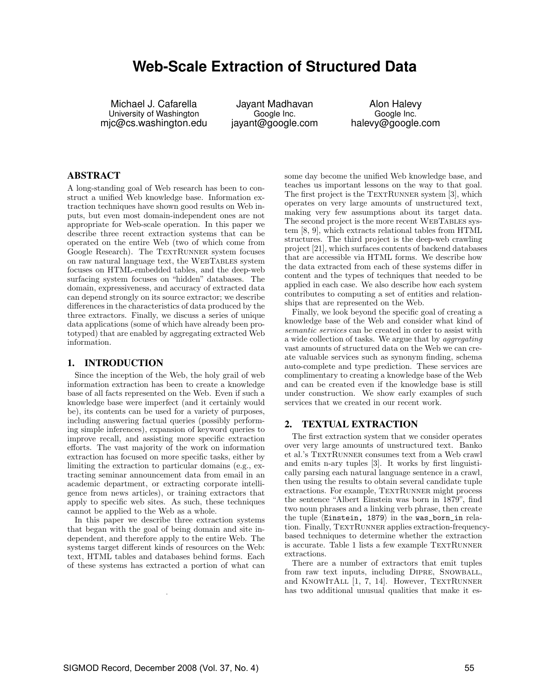# **Web-Scale Extraction of Structured Data**

Michael J. Cafarella University of Washington mjc@cs.washington.edu

Jayant Madhavan Google Inc. jayant@google.com

Alon Halevy Google Inc. halevy@google.com

## ABSTRACT

A long-standing goal of Web research has been to construct a unified Web knowledge base. Information extraction techniques have shown good results on Web inputs, but even most domain-independent ones are not appropriate for Web-scale operation. In this paper we describe three recent extraction systems that can be operated on the entire Web (two of which come from Google Research). The TEXTRUNNER system focuses on raw natural language text, the WebTables system focuses on HTML-embedded tables, and the deep-web surfacing system focuses on "hidden" databases. The domain, expressiveness, and accuracy of extracted data can depend strongly on its source extractor; we describe differences in the characteristics of data produced by the three extractors. Finally, we discuss a series of unique data applications (some of which have already been prototyped) that are enabled by aggregating extracted Web information.

#### 1. INTRODUCTION

Since the inception of the Web, the holy grail of web information extraction has been to create a knowledge base of all facts represented on the Web. Even if such a knowledge base were imperfect (and it certainly would be), its contents can be used for a variety of purposes, including answering factual queries (possibly performing simple inferences), expansion of keyword queries to improve recall, and assisting more specific extraction efforts. The vast majority of the work on information extraction has focused on more specific tasks, either by limiting the extraction to particular domains (e.g., extracting seminar announcement data from email in an academic department, or extracting corporate intelligence from news articles), or training extractors that apply to specific web sites. As such, these techniques cannot be applied to the Web as a whole.

In this paper we describe three extraction systems that began with the goal of being domain and site independent, and therefore apply to the entire Web. The systems target different kinds of resources on the Web: text, HTML tables and databases behind forms. Each of these systems has extracted a portion of what can

.

some day become the unified Web knowledge base, and teaches us important lessons on the way to that goal. The first project is the TEXTRUNNER system [3], which operates on very large amounts of unstructured text, making very few assumptions about its target data. The second project is the more recent WebTables system [8, 9], which extracts relational tables from HTML structures. The third project is the deep-web crawling project [21], which surfaces contents of backend databases that are accessible via HTML forms. We describe how the data extracted from each of these systems differ in content and the types of techniques that needed to be applied in each case. We also describe how each system contributes to computing a set of entities and relationships that are represented on the Web.

Finally, we look beyond the specific goal of creating a knowledge base of the Web and consider what kind of *semantic services* can be created in order to assist with a wide collection of tasks. We argue that by *aggregating* vast amounts of structured data on the Web we can create valuable services such as synonym finding, schema auto-complete and type prediction. These services are complimentary to creating a knowledge base of the Web and can be created even if the knowledge base is still under construction. We show early examples of such services that we created in our recent work.

## 2. TEXTUAL EXTRACTION

The first extraction system that we consider operates over very large amounts of unstructured text. Banko et al.'s TEXTRUNNER consumes text from a Web crawl and emits n-ary tuples [3]. It works by first linguistically parsing each natural language sentence in a crawl, then using the results to obtain several candidate tuple extractions. For example, TEXTRUNNER might process the sentence "Albert Einstein was born in 1879", find two noun phrases and a linking verb phrase, then create the tuple  $\langle$ Einstein, 1879 $\rangle$  in the was\_born\_in relation. Finally, TEXTRUNNER applies extraction-frequencybased techniques to determine whether the extraction is accurate. Table 1 lists a few example TEXTRUNNER extractions.

There are a number of extractors that emit tuples from raw text inputs, including Dipre, Snowball, and KNOWITALL  $[1, 7, 14]$ . However, TEXTRUNNER has two additional unusual qualities that make it es-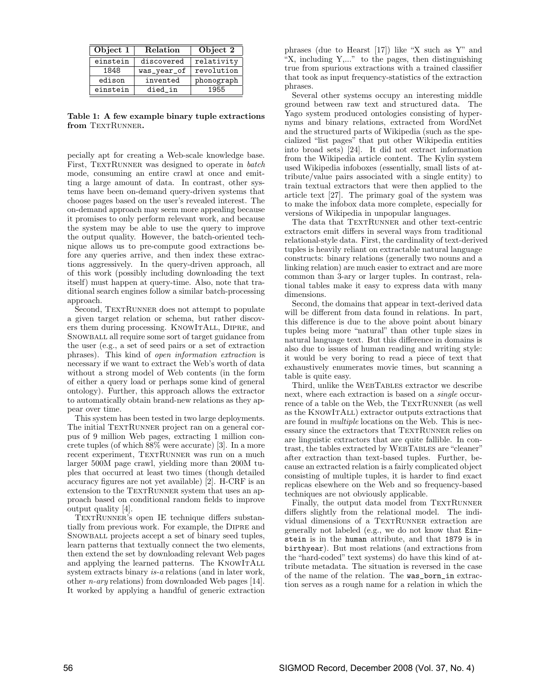| Object 1 | Relation    | Object 2   |
|----------|-------------|------------|
| einstein | discovered  | relativity |
| 1848     | was_year_of | revolution |
| edison   | invented    | phonograph |
| einstein | died in     | 1955       |

Table 1: A few example binary tuple extractions from TEXTRUNNER.

pecially apt for creating a Web-scale knowledge base. First, TEXTRUNNER was designed to operate in *batch* mode, consuming an entire crawl at once and emitting a large amount of data. In contrast, other systems have been on-demand query-driven systems that choose pages based on the user's revealed interest. The on-demand approach may seem more appealing because it promises to only perform relevant work, and because the system may be able to use the query to improve the output quality. However, the batch-oriented technique allows us to pre-compute good extractions before any queries arrive, and then index these extractions aggressively. In the query-driven approach, all of this work (possibly including downloading the text itself) must happen at query-time. Also, note that traditional search engines follow a similar batch-processing approach.

Second, TEXTRUNNER does not attempt to populate a given target relation or schema, but rather discovers them during processing. KnowItAll, Dipre, and Snowball all require some sort of target guidance from the user (e.g., a set of seed pairs or a set of extraction phrases). This kind of *open information extraction* is necessary if we want to extract the Web's worth of data without a strong model of Web contents (in the form of either a query load or perhaps some kind of general ontology). Further, this approach allows the extractor to automatically obtain brand-new relations as they appear over time.

This system has been tested in two large deployments. The initial TEXTRUNNER project ran on a general corpus of 9 million Web pages, extracting 1 million concrete tuples (of which 88% were accurate) [3]. In a more recent experiment, TEXTRUNNER was run on a much larger 500M page crawl, yielding more than 200M tuples that occurred at least two times (though detailed accuracy figures are not yet available) [2]. H-CRF is an extension to the TEXTRUNNER system that uses an approach based on conditional random fields to improve output quality [4].

TEXTRUNNER's open IE technique differs substantially from previous work. For example, the DIPRE and Snowball projects accept a set of binary seed tuples, learn patterns that textually connect the two elements, then extend the set by downloading relevant Web pages and applying the learned patterns. The KNOWITALL system extracts binary *is-a* relations (and in later work, other *n-ary* relations) from downloaded Web pages [14]. It worked by applying a handful of generic extraction phrases (due to Hearst [17]) like "X such as Y" and  ${}^{\text{w}}$ X, including Y,..." to the pages, then distinguishing true from spurious extractions with a trained classifier that took as input frequency-statistics of the extraction phrases.

Several other systems occupy an interesting middle ground between raw text and structured data. The Yago system produced ontologies consisting of hypernyms and binary relations, extracted from WordNet and the structured parts of Wikipedia (such as the specialized "list pages" that put other Wikipedia entities into broad sets) [24]. It did not extract information from the Wikipedia article content. The Kylin system used Wikipedia infoboxes (essentially, small lists of attribute/value pairs associated with a single entity) to train textual extractors that were then applied to the article text [27]. The primary goal of the system was to make the infobox data more complete, especially for versions of Wikipedia in unpopular languages.

The data that TEXTRUNNER and other text-centric extractors emit differs in several ways from traditional relational-style data. First, the cardinality of text-derived tuples is heavily reliant on extractable natural language constructs: binary relations (generally two nouns and a linking relation) are much easier to extract and are more common than 3-ary or larger tuples. In contrast, relational tables make it easy to express data with many dimensions.

Second, the domains that appear in text-derived data will be different from data found in relations. In part, this difference is due to the above point about binary tuples being more "natural" than other tuple sizes in natural language text. But this difference in domains is also due to issues of human reading and writing style: it would be very boring to read a piece of text that exhaustively enumerates movie times, but scanning a table is quite easy.

Third, unlike the WebTables extractor we describe next, where each extraction is based on a *single* occurrence of a table on the Web, the TEXTRUNNER (as well as the KnowItAll) extractor outputs extractions that are found in *multiple* locations on the Web. This is necessary since the extractors that TEXTRUNNER relies on are linguistic extractors that are quite fallible. In contrast, the tables extracted by WebTables are "cleaner" after extraction than text-based tuples. Further, because an extracted relation is a fairly complicated object consisting of multiple tuples, it is harder to find exact replicas elsewhere on the Web and so frequency-based techniques are not obviously applicable.

Finally, the output data model from TEXTRUNNER differs slightly from the relational model. The individual dimensions of a TEXTRUNNER extraction are generally not labeled (e.g., we do not know that Einstein is in the human attribute, and that 1879 is in birthyear). But most relations (and extractions from the "hard-coded" text systems) do have this kind of attribute metadata. The situation is reversed in the case of the name of the relation. The was\_born\_in extraction serves as a rough name for a relation in which the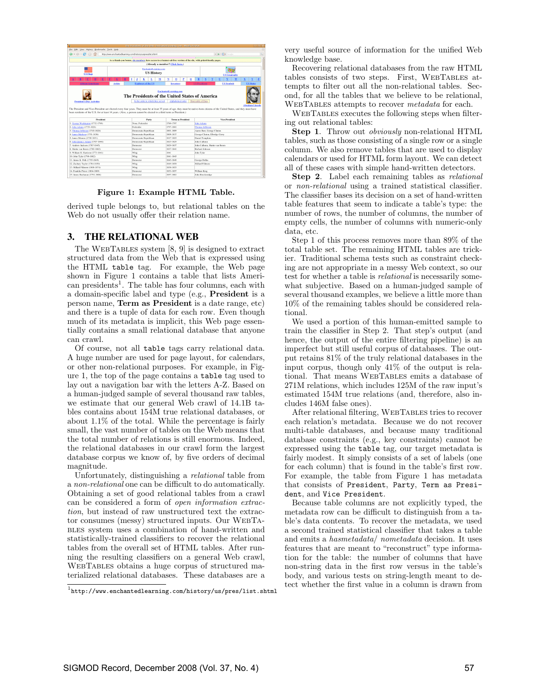|                                                                                                                                                                                                                                                                                                        |                                                                                                                    |                   |  |                            |       |  |                                                                                     |           | The Presidents of the USA - Incharted euroop.com - Mozila Firefox |   |           |                      |                     |  |                                |                   |  |   |         |                  |                 |  |
|--------------------------------------------------------------------------------------------------------------------------------------------------------------------------------------------------------------------------------------------------------------------------------------------------------|--------------------------------------------------------------------------------------------------------------------|-------------------|--|----------------------------|-------|--|-------------------------------------------------------------------------------------|-----------|-------------------------------------------------------------------|---|-----------|----------------------|---------------------|--|--------------------------------|-------------------|--|---|---------|------------------|-----------------|--|
| Elle Edit View History Bookmarks Tools Help                                                                                                                                                                                                                                                            |                                                                                                                    |                   |  |                            |       |  |                                                                                     |           |                                                                   |   |           |                      |                     |  |                                |                   |  |   |         |                  |                 |  |
| http://www.enchantedlearning.com/history/us/pres/list.shtml                                                                                                                                                                                                                                            |                                                                                                                    |                   |  |                            |       |  |                                                                                     |           | - <b>P G</b> Goods                                                |   |           |                      |                     |  |                                |                   |  |   |         |                  |                 |  |
|                                                                                                                                                                                                                                                                                                        |                                                                                                                    |                   |  |                            |       |  |                                                                                     |           |                                                                   |   |           |                      |                     |  |                                |                   |  |   |         |                  |                 |  |
|                                                                                                                                                                                                                                                                                                        | As a thank-you homus, site members have access to a banner-ad-free version of the site, with print-friendly pages. |                   |  |                            |       |  |                                                                                     |           |                                                                   |   |           |                      |                     |  |                                |                   |  |   |         |                  |                 |  |
|                                                                                                                                                                                                                                                                                                        |                                                                                                                    |                   |  |                            |       |  | (Already a member? Click here.)                                                     |           |                                                                   |   |           |                      |                     |  |                                |                   |  |   |         |                  |                 |  |
|                                                                                                                                                                                                                                                                                                        |                                                                                                                    |                   |  |                            |       |  | EnchantedLearning.com                                                               |           |                                                                   |   |           |                      |                     |  |                                |                   |  |   |         |                  |                 |  |
| <b>US Flass</b>                                                                                                                                                                                                                                                                                        |                                                                                                                    | <b>US History</b> |  |                            |       |  |                                                                                     |           |                                                                   |   |           |                      |                     |  |                                |                   |  |   |         |                  |                 |  |
|                                                                                                                                                                                                                                                                                                        |                                                                                                                    |                   |  |                            |       |  |                                                                                     |           |                                                                   |   |           |                      | <b>US Geography</b> |  |                                |                   |  |   | Y       |                  |                 |  |
|                                                                                                                                                                                                                                                                                                        |                                                                                                                    |                   |  |                            |       |  | м                                                                                   | N         | $\mathbf o$                                                       | P | $\bullet$ |                      |                     |  | υ                              |                   |  | W | $\bf x$ |                  | z               |  |
| <b>African-Americans</b>                                                                                                                                                                                                                                                                               | <b>Artists</b>                                                                                                     |                   |  | <b>Explorers of the US</b> |       |  |                                                                                     |           | Inventors                                                         |   |           | <b>US Presidents</b> |                     |  |                                | <b>US Symbols</b> |  |   |         | <b>US States</b> |                 |  |
| <b>President's Day Activities</b>                                                                                                                                                                                                                                                                      |                                                                                                                    |                   |  |                            |       |  | The Presidents of the United States of America<br>In the order in which they served |           | Alphabetical order Short table of Data                            |   |           |                      |                     |  |                                |                   |  |   |         |                  |                 |  |
| The President and Vice-President are elected every four years. They must be at least 35 years of age, they must be native-born citizens of the United States, and they must have<br>been residents of the U.S. for at least 14 years. (Also, a person cannot be elected to a third term as President.) |                                                                                                                    |                   |  |                            |       |  |                                                                                     |           |                                                                   |   |           |                      |                     |  |                                |                   |  |   |         |                  | Abraham Lincoln |  |
| President                                                                                                                                                                                                                                                                                              |                                                                                                                    |                   |  |                            | Party |  |                                                                                     |           | <b>Term as President</b>                                          |   |           |                      |                     |  |                                | Vice-President    |  |   |         |                  |                 |  |
| 1. George Washington (1732-1799)                                                                                                                                                                                                                                                                       |                                                                                                                    |                   |  | None, Federalist           |       |  |                                                                                     | 1789-1797 |                                                                   |   |           | John Adams           |                     |  |                                |                   |  |   |         |                  |                 |  |
| 2. John Adams (1735-1826)                                                                                                                                                                                                                                                                              |                                                                                                                    |                   |  | Federalist                 |       |  |                                                                                     | 1797-1801 |                                                                   |   |           | Thomas Jefferson     |                     |  |                                |                   |  |   |         |                  |                 |  |
| 3. Thomas Jefferson (1743-1826)                                                                                                                                                                                                                                                                        |                                                                                                                    |                   |  | Democratic-Republican      |       |  |                                                                                     | 1801-1809 |                                                                   |   |           |                      |                     |  | Azron Burr, George Clinton     |                   |  |   |         |                  |                 |  |
| 4. James Madison (1751-1836)                                                                                                                                                                                                                                                                           |                                                                                                                    |                   |  | Democratic-Republican      |       |  |                                                                                     | 1809-1817 |                                                                   |   |           |                      |                     |  | George Clinton, Elbridge Geny  |                   |  |   |         |                  |                 |  |
| 5. James Monroe (1758-1831)                                                                                                                                                                                                                                                                            |                                                                                                                    |                   |  | Democratic-Republican      |       |  |                                                                                     | 1817-1825 |                                                                   |   |           | Daniel Tompkins      |                     |  |                                |                   |  |   |         |                  |                 |  |
| 6. John Quincy Adams (1767-1848)                                                                                                                                                                                                                                                                       |                                                                                                                    |                   |  | Democratic-Republican      |       |  |                                                                                     | 1825-1829 |                                                                   |   |           | John Calhoun         |                     |  |                                |                   |  |   |         |                  |                 |  |
| 7. Andrew Jackson (1767-1845)                                                                                                                                                                                                                                                                          |                                                                                                                    |                   |  | <b>Democrat</b>            |       |  |                                                                                     | 1829-1837 |                                                                   |   |           |                      |                     |  | John Calhoun, Martin van Buren |                   |  |   |         |                  |                 |  |
| 8. Martin van Buren (1782-1862)                                                                                                                                                                                                                                                                        |                                                                                                                    |                   |  | <b>Democrat</b>            |       |  |                                                                                     | 1837-1841 |                                                                   |   |           | Richard Johnson      |                     |  |                                |                   |  |   |         |                  |                 |  |
| 9. William H. Harrison (1773-1841).                                                                                                                                                                                                                                                                    |                                                                                                                    |                   |  | Whiz                       |       |  |                                                                                     | 1841      |                                                                   |   |           | John Tyler           |                     |  |                                |                   |  |   |         |                  |                 |  |
| 10. John Tyler (1790-1862)                                                                                                                                                                                                                                                                             |                                                                                                                    |                   |  | Whiz                       |       |  |                                                                                     |           | 1841-1845                                                         |   |           |                      |                     |  |                                |                   |  |   |         |                  |                 |  |
| 11. James K. Polk (1795-1849).                                                                                                                                                                                                                                                                         |                                                                                                                    |                   |  | Democrat                   |       |  |                                                                                     | 1845-1849 |                                                                   |   |           | George Dalko.        |                     |  |                                |                   |  |   |         |                  |                 |  |
| 12. Zachary Taylor (1784-1850).                                                                                                                                                                                                                                                                        |                                                                                                                    |                   |  | Whiz                       |       |  |                                                                                     |           | 1849-1850                                                         |   |           | Millard Fillmore     |                     |  |                                |                   |  |   |         |                  |                 |  |
| 13. Millard Fillmont (1800-1874).                                                                                                                                                                                                                                                                      |                                                                                                                    |                   |  | Whiz                       |       |  |                                                                                     |           | 1850-1853                                                         |   |           |                      |                     |  |                                |                   |  |   |         |                  |                 |  |
| 14. Franklin Pierce (1804-1869).                                                                                                                                                                                                                                                                       |                                                                                                                    |                   |  | Democrat                   |       |  |                                                                                     | 1853-1857 |                                                                   |   |           | William King         |                     |  |                                |                   |  |   |         |                  |                 |  |

Figure 1: Example HTML Table.

derived tuple belongs to, but relational tables on the Web do not usually offer their relation name.

## 3. THE RELATIONAL WEB

The WEBTABLES system  $[8, 9]$  is designed to extract structured data from the Web that is expressed using the HTML table tag. For example, the Web page shown in Figure 1 contains a table that lists American presidents<sup>1</sup>. The table has four columns, each with a domain-specific label and type (e.g., President is a person name, Term as President is a date range, etc) and there is a tuple of data for each row. Even though much of its metadata is implicit, this Web page essentially contains a small relational database that anyone can crawl.

Of course, not all table tags carry relational data. A huge number are used for page layout, for calendars, or other non-relational purposes. For example, in Figure 1, the top of the page contains a table tag used to lay out a navigation bar with the letters A-Z. Based on a human-judged sample of several thousand raw tables, we estimate that our general Web crawl of 14.1B tables contains about 154M true relational databases, or about 1.1% of the total. While the percentage is fairly small, the vast number of tables on the Web means that the total number of relations is still enormous. Indeed, the relational databases in our crawl form the largest database corpus we know of, by five orders of decimal magnitude.

Unfortunately, distinguishing a *relational* table from a *non-relational* one can be difficult to do automatically. Obtaining a set of good relational tables from a crawl can be considered a form of *open information extraction*, but instead of raw unstructured text the extractor consumes (messy) structured inputs. Our WebTables system uses a combination of hand-written and statistically-trained classifiers to recover the relational tables from the overall set of HTML tables. After running the resulting classifiers on a general Web crawl, WebTables obtains a huge corpus of structured materialized relational databases. These databases are a

<sup>1</sup>http://www.enchantedlearning.com/history/us/pres/list.shtml

very useful source of information for the unified Web knowledge base.

Recovering relational databases from the raw HTML tables consists of two steps. First, WebTables attempts to filter out all the non-relational tables. Second, for all the tables that we believe to be relational, WebTables attempts to recover *metadata* for each.

WebTables executes the following steps when filtering out relational tables:

Step 1. Throw out *obviously* non-relational HTML tables, such as those consisting of a single row or a single column. We also remove tables that are used to display calendars or used for HTML form layout. We can detect all of these cases with simple hand-written detectors.

Step 2. Label each remaining tables as *relational* or *non-relational* using a trained statistical classifier. The classifier bases its decision on a set of hand-written table features that seem to indicate a table's type: the number of rows, the number of columns, the number of empty cells, the number of columns with numeric-only data, etc.

Step 1 of this process removes more than 89% of the total table set. The remaining HTML tables are trickier. Traditional schema tests such as constraint checking are not appropriate in a messy Web context, so our test for whether a table is *relational* is necessarily somewhat subjective. Based on a human-judged sample of several thousand examples, we believe a little more than 10% of the remaining tables should be considered relational.

We used a portion of this human-emitted sample to train the classifier in Step 2. That step's output (and hence, the output of the entire filtering pipeline) is an imperfect but still useful corpus of databases. The output retains 81% of the truly relational databases in the input corpus, though only 41% of the output is relational. That means WebTables emits a database of 271M relations, which includes 125M of the raw input's estimated 154M true relations (and, therefore, also includes 146M false ones).

After relational filtering, WebTables tries to recover each relation's metadata. Because we do not recover multi-table databases, and because many traditional database constraints (e.g., key constraints) cannot be expressed using the table tag, our target metadata is fairly modest. It simply consists of a set of labels (one for each column) that is found in the table's first row. For example, the table from Figure 1 has metadata that consists of President, Party, Term as President, and Vice President.

Because table columns are not explicitly typed, the metadata row can be difficult to distinguish from a table's data contents. To recover the metadata, we used a second trained statistical classifier that takes a table and emits a *hasmetadata*/ *nometadata* decision. It uses features that are meant to "reconstruct" type information for the table: the number of columns that have non-string data in the first row versus in the table's body, and various tests on string-length meant to detect whether the first value in a column is drawn from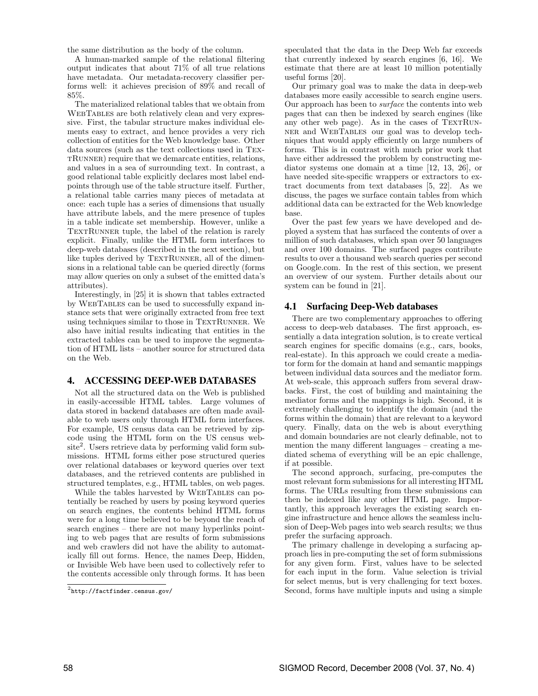the same distribution as the body of the column.

A human-marked sample of the relational filtering output indicates that about 71% of all true relations have metadata. Our metadata-recovery classifier performs well: it achieves precision of 89% and recall of 85%.

The materialized relational tables that we obtain from WebTables are both relatively clean and very expressive. First, the tabular structure makes individual elements easy to extract, and hence provides a very rich collection of entities for the Web knowledge base. Other data sources (such as the text collections used in TextRunner) require that we demarcate entities, relations, and values in a sea of surrounding text. In contrast, a good relational table explicitly declares most label endpoints through use of the table structure itself. Further, a relational table carries many pieces of metadata at once: each tuple has a series of dimensions that usually have attribute labels, and the mere presence of tuples in a table indicate set membership. However, unlike a TextRunner tuple, the label of the relation is rarely explicit. Finally, unlike the HTML form interfaces to deep-web databases (described in the next section), but like tuples derived by TEXTRUNNER, all of the dimensions in a relational table can be queried directly (forms may allow queries on only a subset of the emitted data's attributes).

Interestingly, in [25] it is shown that tables extracted by WebTables can be used to successfully expand instance sets that were originally extracted from free text using techniques similar to those in TEXTRUNNER. We also have initial results indicating that entities in the extracted tables can be used to improve the segmentation of HTML lists – another source for structured data on the Web.

## 4. ACCESSING DEEP-WEB DATABASES

Not all the structured data on the Web is published in easily-accessible HTML tables. Large volumes of data stored in backend databases are often made available to web users only through HTML form interfaces. For example, US census data can be retrieved by zipcode using the HTML form on the US census website<sup>2</sup>. Users retrieve data by performing valid form submissions. HTML forms either pose structured queries over relational databases or keyword queries over text databases, and the retrieved contents are published in structured templates, e.g., HTML tables, on web pages.

While the tables harvested by WEBTABLES can potentially be reached by users by posing keyword queries on search engines, the contents behind HTML forms were for a long time believed to be beyond the reach of search engines – there are not many hyperlinks pointing to web pages that are results of form submissions and web crawlers did not have the ability to automatically fill out forms. Hence, the names Deep, Hidden, or Invisible Web have been used to collectively refer to the contents accessible only through forms. It has been speculated that the data in the Deep Web far exceeds that currently indexed by search engines [6, 16]. We estimate that there are at least 10 million potentially useful forms [20].

Our primary goal was to make the data in deep-web databases more easily accessible to search engine users. Our approach has been to *surface* the contents into web pages that can then be indexed by search engines (like any other web page). As in the cases of  $TexrRun$ ner and WebTables our goal was to develop techniques that would apply efficiently on large numbers of forms. This is in contrast with much prior work that have either addressed the problem by constructing mediator systems one domain at a time [12, 13, 26], or have needed site-specific wrappers or extractors to extract documents from text databases [5, 22]. As we discuss, the pages we surface contain tables from which additional data can be extracted for the Web knowledge base.

Over the past few years we have developed and deployed a system that has surfaced the contents of over a million of such databases, which span over 50 languages and over 100 domains. The surfaced pages contribute results to over a thousand web search queries per second on Google.com. In the rest of this section, we present an overview of our system. Further details about our system can be found in [21].

#### 4.1 Surfacing Deep-Web databases

There are two complementary approaches to offering access to deep-web databases. The first approach, essentially a data integration solution, is to create vertical search engines for specific domains (e.g., cars, books, real-estate). In this approach we could create a mediator form for the domain at hand and semantic mappings between individual data sources and the mediator form. At web-scale, this approach suffers from several drawbacks. First, the cost of building and maintaining the mediator forms and the mappings is high. Second, it is extremely challenging to identify the domain (and the forms within the domain) that are relevant to a keyword query. Finally, data on the web is about everything and domain boundaries are not clearly definable, not to mention the many different languages – creating a mediated schema of everything will be an epic challenge, if at possible.

The second approach, surfacing, pre-computes the most relevant form submissions for all interesting HTML forms. The URLs resulting from these submissions can then be indexed like any other HTML page. Importantly, this approach leverages the existing search engine infrastructure and hence allows the seamless inclusion of Deep-Web pages into web search results; we thus prefer the surfacing approach.

The primary challenge in developing a surfacing approach lies in pre-computing the set of form submissions for any given form. First, values have to be selected for each input in the form. Value selection is trivial for select menus, but is very challenging for text boxes. Second, forms have multiple inputs and using a simple

 $^{2}$ http://factfinder.census.gov/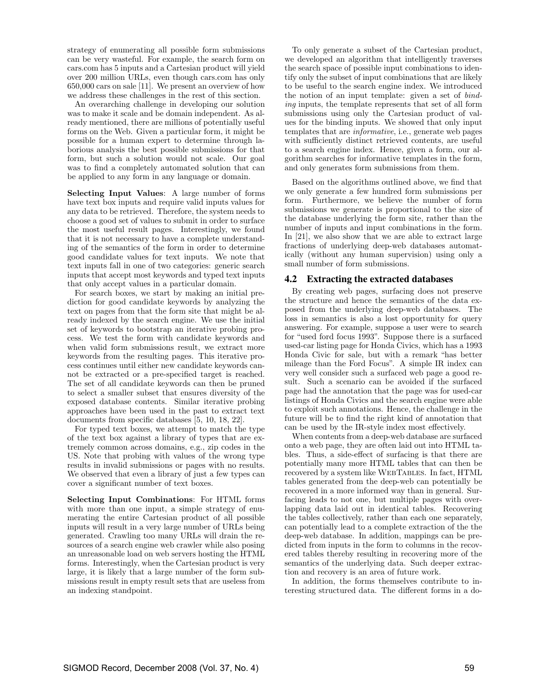strategy of enumerating all possible form submissions can be very wasteful. For example, the search form on cars.com has 5 inputs and a Cartesian product will yield over 200 million URLs, even though cars.com has only 650,000 cars on sale [11]. We present an overview of how we address these challenges in the rest of this section.

An overarching challenge in developing our solution was to make it scale and be domain independent. As already mentioned, there are millions of potentially useful forms on the Web. Given a particular form, it might be possible for a human expert to determine through laborious analysis the best possible submissions for that form, but such a solution would not scale. Our goal was to find a completely automated solution that can be applied to any form in any language or domain.

Selecting Input Values: A large number of forms have text box inputs and require valid inputs values for any data to be retrieved. Therefore, the system needs to choose a good set of values to submit in order to surface the most useful result pages. Interestingly, we found that it is not necessary to have a complete understanding of the semantics of the form in order to determine good candidate values for text inputs. We note that text inputs fall in one of two categories: generic search inputs that accept most keywords and typed text inputs that only accept values in a particular domain.

For search boxes, we start by making an initial prediction for good candidate keywords by analyzing the text on pages from that the form site that might be already indexed by the search engine. We use the initial set of keywords to bootstrap an iterative probing process. We test the form with candidate keywords and when valid form submissions result, we extract more keywords from the resulting pages. This iterative process continues until either new candidate keywords cannot be extracted or a pre-specified target is reached. The set of all candidate keywords can then be pruned to select a smaller subset that ensures diversity of the exposed database contents. Similar iterative probing approaches have been used in the past to extract text documents from specific databases [5, 10, 18, 22].

For typed text boxes, we attempt to match the type of the text box against a library of types that are extremely common across domains, e.g., zip codes in the US. Note that probing with values of the wrong type results in invalid submissions or pages with no results. We observed that even a library of just a few types can cover a significant number of text boxes.

Selecting Input Combinations: For HTML forms with more than one input, a simple strategy of enumerating the entire Cartesian product of all possible inputs will result in a very large number of URLs being generated. Crawling too many URLs will drain the resources of a search engine web crawler while also posing an unreasonable load on web servers hosting the HTML forms. Interestingly, when the Cartesian product is very large, it is likely that a large number of the form submissions result in empty result sets that are useless from an indexing standpoint.

To only generate a subset of the Cartesian product, we developed an algorithm that intelligently traverses the search space of possible input combinations to identify only the subset of input combinations that are likely to be useful to the search engine index. We introduced the notion of an input template: given a set of *binding* inputs, the template represents that set of all form submissions using only the Cartesian product of values for the binding inputs. We showed that only input templates that are *informative*, i.e., generate web pages with sufficiently distinct retrieved contents, are useful to a search engine index. Hence, given a form, our algorithm searches for informative templates in the form, and only generates form submissions from them.

Based on the algorithms outlined above, we find that we only generate a few hundred form submissions per form. Furthermore, we believe the number of form submissions we generate is proportional to the size of the database underlying the form site, rather than the number of inputs and input combinations in the form. In [21], we also show that we are able to extract large fractions of underlying deep-web databases automatically (without any human supervision) using only a small number of form submissions.

## 4.2 Extracting the extracted databases

By creating web pages, surfacing does not preserve the structure and hence the semantics of the data exposed from the underlying deep-web databases. The loss in semantics is also a lost opportunity for query answering. For example, suppose a user were to search for "used ford focus 1993". Suppose there is a surfaced used-car listing page for Honda Civics, which has a 1993 Honda Civic for sale, but with a remark "has better mileage than the Ford Focus". A simple IR index can very well consider such a surfaced web page a good result. Such a scenario can be avoided if the surfaced page had the annotation that the page was for used-car listings of Honda Civics and the search engine were able to exploit such annotations. Hence, the challenge in the future will be to find the right kind of annotation that can be used by the IR-style index most effectively.

When contents from a deep-web database are surfaced onto a web page, they are often laid out into HTML tables. Thus, a side-effect of surfacing is that there are potentially many more HTML tables that can then be recovered by a system like WebTables. In fact, HTML tables generated from the deep-web can potentially be recovered in a more informed way than in general. Surfacing leads to not one, but multiple pages with overlapping data laid out in identical tables. Recovering the tables collectively, rather than each one separately, can potentially lead to a complete extraction of the the deep-web database. In addition, mappings can be predicted from inputs in the form to columns in the recovered tables thereby resulting in recovering more of the semantics of the underlying data. Such deeper extraction and recovery is an area of future work.

In addition, the forms themselves contribute to interesting structured data. The different forms in a do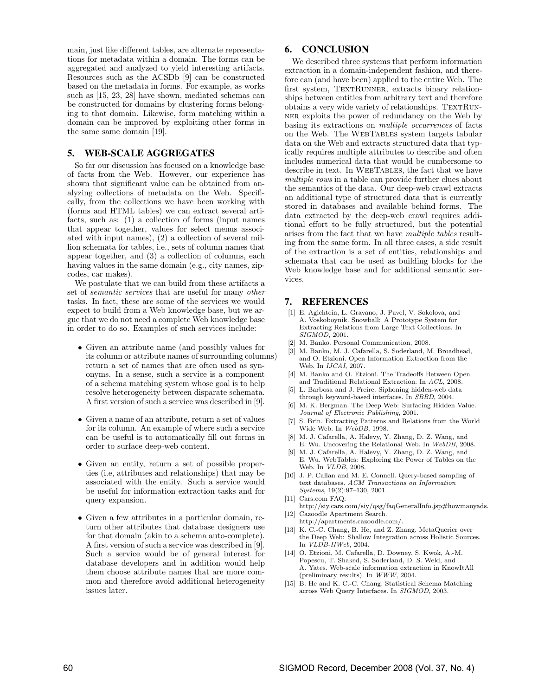main, just like different tables, are alternate representations for metadata within a domain. The forms can be aggregated and analyzed to yield interesting artifacts. Resources such as the ACSDb [9] can be constructed based on the metadata in forms. For example, as works such as [15, 23, 28] have shown, mediated schemas can be constructed for domains by clustering forms belonging to that domain. Likewise, form matching within a domain can be improved by exploiting other forms in the same same domain [19].

## 5. WEB-SCALE AGGREGATES

So far our discussion has focused on a knowledge base of facts from the Web. However, our experience has shown that significant value can be obtained from analyzing collections of metadata on the Web. Specifically, from the collections we have been working with (forms and HTML tables) we can extract several artifacts, such as: (1) a collection of forms (input names that appear together, values for select menus associated with input names), (2) a collection of several million schemata for tables, i.e., sets of column names that appear together, and (3) a collection of columns, each having values in the same domain (e.g., city names, zipcodes, car makes).

We postulate that we can build from these artifacts a set of *semantic services* that are useful for many *other* tasks. In fact, these are some of the services we would expect to build from a Web knowledge base, but we argue that we do not need a complete Web knowledge base in order to do so. Examples of such services include:

- Given an attribute name (and possibly values for its column or attribute names of surrounding columns) return a set of names that are often used as synonyms. In a sense, such a service is a component of a schema matching system whose goal is to help resolve heterogeneity between disparate schemata. A first version of such a service was described in [9].
- Given a name of an attribute, return a set of values for its column. An example of where such a service can be useful is to automatically fill out forms in order to surface deep-web content.
- Given an entity, return a set of possible properties (i.e, attributes and relationships) that may be associated with the entity. Such a service would be useful for information extraction tasks and for query expansion.
- Given a few attributes in a particular domain, return other attributes that database designers use for that domain (akin to a schema auto-complete). A first version of such a service was described in [9]. Such a service would be of general interest for database developers and in addition would help them choose attribute names that are more common and therefore avoid additional heterogeneity issues later.

## 6. CONCLUSION

We described three systems that perform information extraction in a domain-independent fashion, and therefore can (and have been) applied to the entire Web. The first system, TEXTRUNNER, extracts binary relationships between entities from arbitrary text and therefore obtains a very wide variety of relationships. TEXTRUNner exploits the power of redundancy on the Web by basing its extractions on *multiple occurrences* of facts on the Web. The WebTables system targets tabular data on the Web and extracts structured data that typically requires multiple attributes to describe and often includes numerical data that would be cumbersome to describe in text. In WEBTABLES, the fact that we have *multiple rows* in a table can provide further clues about the semantics of the data. Our deep-web crawl extracts an additional type of structured data that is currently stored in databases and available behind forms. The data extracted by the deep-web crawl requires additional effort to be fully structured, but the potential arises from the fact that we have *multiple tables* resulting from the same form. In all three cases, a side result of the extraction is a set of entities, relationships and schemata that can be used as building blocks for the Web knowledge base and for additional semantic services.

#### 7. REFERENCES

- [1] E. Agichtein, L. Gravano, J. Pavel, V. Sokolova, and A. Voskoboynik. Snowball: A Prototype System for Extracting Relations from Large Text Collections. In *SIGMOD*, 2001.
- [2] M. Banko. Personal Communication, 2008.
- M. Banko, M. J. Cafarella, S. Soderland, M. Broadhead, and O. Etzioni. Open Information Extraction from the Web. In *IJCAI*, 2007.
- [4] M. Banko and O. Etzioni. The Tradeoffs Between Open and Traditional Relational Extraction. In *ACL*, 2008.
- [5] L. Barbosa and J. Freire. Siphoning hidden-web data through keyword-based interfaces. In *SBBD*, 2004.
- [6] M. K. Bergman. The Deep Web: Surfacing Hidden Value. *Journal of Electronic Publishing*, 2001.
- [7] S. Brin. Extracting Patterns and Relations from the World Wide Web. In *WebDB*, 1998.
- [8] M. J. Cafarella, A. Halevy, Y. Zhang, D. Z. Wang, and E. Wu. Uncovering the Relational Web. In *WebDB*, 2008.
- [9] M. J. Cafarella, A. Halevy, Y. Zhang, D. Z. Wang, and E. Wu. WebTables: Exploring the Power of Tables on the Web. In *VLDB*, 2008.
- [10] J. P. Callan and M. E. Connell. Query-based sampling of text databases. *ACM Transactions on Information Systems*, 19(2):97–130, 2001.
- [11] Cars.com FAQ.
- http://siy.cars.com/siy/qsg/faqGeneralInfo.jsp#howmanyads. [12] Cazoodle Apartment Search.
- http://apartments.cazoodle.com/. [13] K. C.-C. Chang, B. He, and Z. Zhang. MetaQuerier over the Deep Web: Shallow Integration across Holistic Sources. In *VLDB-IIWeb*, 2004.
- [14] O. Etzioni, M. Cafarella, D. Downey, S. Kwok, A.-M. Popescu, T. Shaked, S. Soderland, D. S. Weld, and A. Yates. Web-scale information extraction in KnowItAll (preliminary results). In *WWW*, 2004.
- [15] B. He and K. C.-C. Chang. Statistical Schema Matching across Web Query Interfaces. In *SIGMOD*, 2003.